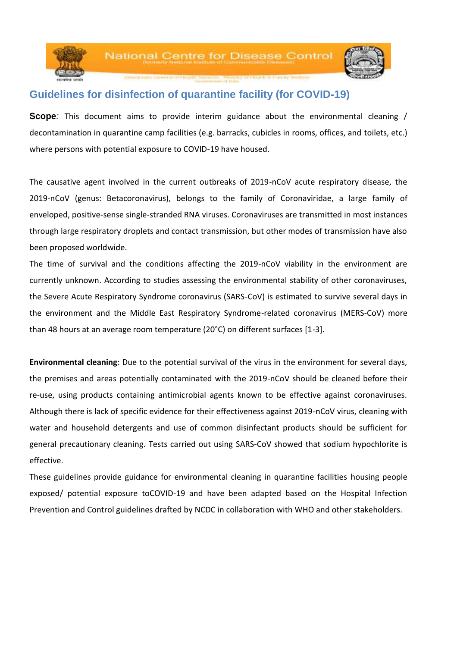

## **Guidelines for disinfection of quarantine facility (for COVID-19)**

**Scope***:* This document aims to provide interim guidance about the environmental cleaning / decontamination in quarantine camp facilities (e.g. barracks, cubicles in rooms, offices, and toilets, etc.) where persons with potential exposure to COVID-19 have housed.

The causative agent involved in the current outbreaks of 2019-nCoV acute respiratory disease, the 2019-nCoV (genus: Betacoronavirus), belongs to the family of Coronaviridae, a large family of enveloped, positive-sense single-stranded RNA viruses. Coronaviruses are transmitted in most instances through large respiratory droplets and contact transmission, but other modes of transmission have also been proposed worldwide.

The time of survival and the conditions affecting the 2019-nCoV viability in the environment are currently unknown. According to studies assessing the environmental stability of other coronaviruses, the Severe Acute Respiratory Syndrome coronavirus (SARS-CoV) is estimated to survive several days in the environment and the Middle East Respiratory Syndrome-related coronavirus (MERS-CoV) more than 48 hours at an average room temperature (20°C) on different surfaces [1-3].

**Environmental cleaning**: Due to the potential survival of the virus in the environment for several days, the premises and areas potentially contaminated with the 2019-nCoV should be cleaned before their re-use, using products containing antimicrobial agents known to be effective against coronaviruses. Although there is lack of specific evidence for their effectiveness against 2019-nCoV virus, cleaning with water and household detergents and use of common disinfectant products should be sufficient for general precautionary cleaning. Tests carried out using SARS-CoV showed that sodium hypochlorite is effective.

These guidelines provide guidance for environmental cleaning in quarantine facilities housing people exposed/ potential exposure toCOVID-19 and have been adapted based on the Hospital Infection Prevention and Control guidelines drafted by NCDC in collaboration with WHO and other stakeholders.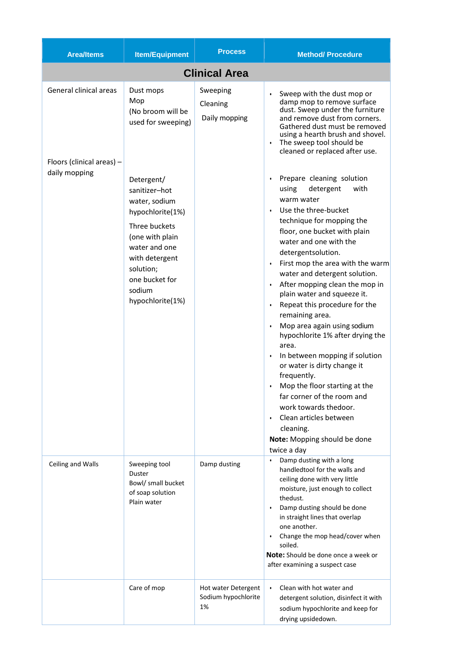| <b>Area/Items</b>                                                    | <b>Item/Equipment</b>                                                                                                                                                                                                                                               | <b>Process</b>                                   | <b>Method/Procedure</b>                                                                                                                                                                                                                                                                                                                                                                                                                                                                                                                                                                                                                                                                                                                                                                                                                                                                                                                                                                                                      |  |
|----------------------------------------------------------------------|---------------------------------------------------------------------------------------------------------------------------------------------------------------------------------------------------------------------------------------------------------------------|--------------------------------------------------|------------------------------------------------------------------------------------------------------------------------------------------------------------------------------------------------------------------------------------------------------------------------------------------------------------------------------------------------------------------------------------------------------------------------------------------------------------------------------------------------------------------------------------------------------------------------------------------------------------------------------------------------------------------------------------------------------------------------------------------------------------------------------------------------------------------------------------------------------------------------------------------------------------------------------------------------------------------------------------------------------------------------------|--|
| <b>Clinical Area</b>                                                 |                                                                                                                                                                                                                                                                     |                                                  |                                                                                                                                                                                                                                                                                                                                                                                                                                                                                                                                                                                                                                                                                                                                                                                                                                                                                                                                                                                                                              |  |
| General clinical areas<br>Floors (clinical areas) -<br>daily mopping | Dust mops<br>Mop<br>(No broom will be<br>used for sweeping)<br>Detergent/<br>sanitizer-hot<br>water, sodium<br>hypochlorite(1%)<br>Three buckets<br>(one with plain<br>water and one<br>with detergent<br>solution;<br>one bucket for<br>sodium<br>hypochlorite(1%) | Sweeping<br>Cleaning<br>Daily mopping            | Sweep with the dust mop or<br>damp mop to remove surface<br>dust. Sweep under the furniture<br>and remove dust from corners.<br>Gathered dust must be removed<br>using a hearth brush and shovel.<br>The sweep tool should be<br>cleaned or replaced after use.<br>Prepare cleaning solution<br>detergent<br>with<br>using<br>warm water<br>Use the three-bucket<br>technique for mopping the<br>floor, one bucket with plain<br>water and one with the<br>detergentsolution.<br>First mop the area with the warm<br>$\bullet$<br>water and detergent solution.<br>After mopping clean the mop in<br>plain water and squeeze it.<br>Repeat this procedure for the<br>$\bullet$<br>remaining area.<br>Mop area again using sodium<br>hypochlorite 1% after drying the<br>area.<br>In between mopping if solution<br>or water is dirty change it<br>frequently.<br>Mop the floor starting at the<br>far corner of the room and<br>work towards thedoor.<br>Clean articles between<br>cleaning.<br>Note: Mopping should be done |  |
| Ceiling and Walls                                                    | Sweeping tool<br>Duster<br>Bowl/ small bucket<br>of soap solution<br>Plain water                                                                                                                                                                                    | Damp dusting                                     | twice a day<br>Damp dusting with a long<br>$\bullet$<br>handledtool for the walls and<br>ceiling done with very little<br>moisture, just enough to collect<br>thedust.<br>Damp dusting should be done<br>$\bullet$<br>in straight lines that overlap<br>one another.<br>Change the mop head/cover when<br>$\bullet$<br>soiled.<br>Note: Should be done once a week or<br>after examining a suspect case                                                                                                                                                                                                                                                                                                                                                                                                                                                                                                                                                                                                                      |  |
|                                                                      | Care of mop                                                                                                                                                                                                                                                         | Hot water Detergent<br>Sodium hypochlorite<br>1% | Clean with hot water and<br>$\bullet$<br>detergent solution, disinfect it with<br>sodium hypochlorite and keep for<br>drying upsidedown.                                                                                                                                                                                                                                                                                                                                                                                                                                                                                                                                                                                                                                                                                                                                                                                                                                                                                     |  |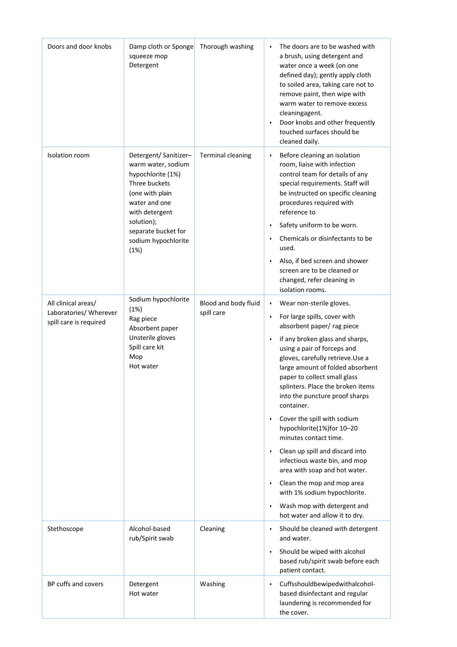| Doors and door knobs                                                    | Damp cloth or Sponge<br>squeeze mop<br>Detergent                                                                                                                                                            | Thorough washing                   | The doors are to be washed with<br>a brush, using detergent and<br>water once a week (on one<br>defined day); gently apply cloth<br>to soiled area, taking care not to<br>remove paint, then wipe with<br>warm water to remove excess<br>cleaningagent.<br>Door knobs and other frequently<br>$\bullet$<br>touched surfaces should be<br>cleaned daily.                                                                                                                                                                                                                                                                                                                                          |
|-------------------------------------------------------------------------|-------------------------------------------------------------------------------------------------------------------------------------------------------------------------------------------------------------|------------------------------------|--------------------------------------------------------------------------------------------------------------------------------------------------------------------------------------------------------------------------------------------------------------------------------------------------------------------------------------------------------------------------------------------------------------------------------------------------------------------------------------------------------------------------------------------------------------------------------------------------------------------------------------------------------------------------------------------------|
| Isolation room                                                          | Detergent/ Sanitizer-<br>warm water, sodium<br>hypochlorite (1%)<br>Three buckets<br>(one with plain<br>water and one<br>with detergent<br>solution);<br>separate bucket for<br>sodium hypochlorite<br>(1%) | <b>Terminal cleaning</b>           | Before cleaning an isolation<br>$\bullet$<br>room, liaise with infection<br>control team for details of any<br>special requirements. Staff will<br>be instructed on specific cleaning<br>procedures required with<br>reference to<br>Safety uniform to be worn.<br>Chemicals or disinfectants to be<br>$\bullet$<br>used.<br>Also, if bed screen and shower<br>$\bullet$<br>screen are to be cleaned or<br>changed, refer cleaning in<br>isolation rooms.                                                                                                                                                                                                                                        |
| All clinical areas/<br>Laboratories/ Wherever<br>spill care is required | Sodium hypochlorite<br>(1%)<br>Rag piece<br>Absorbent paper<br>Unsterile gloves<br>Spill care kit<br>Mop<br>Hot water                                                                                       | Blood and body fluid<br>spill care | Wear non-sterile gloves.<br>٠<br>For large spills, cover with<br>$\bullet$<br>absorbent paper/rag piece<br>if any broken glass and sharps,<br>using a pair of forceps and<br>gloves, carefully retrieve. Use a<br>large amount of folded absorbent<br>paper to collect small glass<br>splinters. Place the broken items<br>into the puncture proof sharps<br>container.<br>Cover the spill with sodium<br>hypochlorite(1%)for 10-20<br>minutes contact time.<br>Clean up spill and discard into<br>infectious waste bin, and mop<br>area with soap and hot water.<br>Clean the mop and mop area<br>with 1% sodium hypochlorite.<br>Wash mop with detergent and<br>hot water and allow it to dry. |
| Stethoscope                                                             | Alcohol-based<br>rub/Spirit swab                                                                                                                                                                            | Cleaning                           | Should be cleaned with detergent<br>$\bullet$<br>and water.<br>Should be wiped with alcohol<br>$\bullet$<br>based rub/spirit swab before each<br>patient contact.                                                                                                                                                                                                                                                                                                                                                                                                                                                                                                                                |
| BP cuffs and covers                                                     | Detergent<br>Hot water                                                                                                                                                                                      | Washing                            | Cuffsshouldbewipedwithalcohol-<br>$\bullet$<br>based disinfectant and regular<br>laundering is recommended for<br>the cover.                                                                                                                                                                                                                                                                                                                                                                                                                                                                                                                                                                     |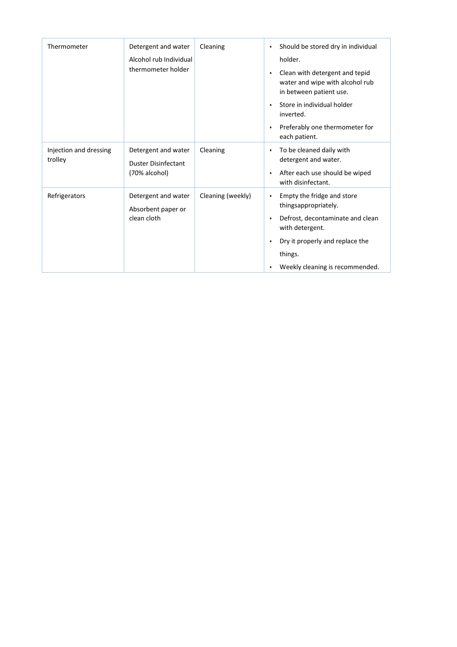| Thermometer                       | Detergent and water<br>Alcohol rub Individual<br>thermometer holder | Cleaning          | Should be stored dry in individual<br>$\bullet$<br>holder.<br>Clean with detergent and tepid<br>$\bullet$<br>water and wipe with alcohol rub<br>in between patient use.<br>Store in individual holder<br>٠<br>inverted.<br>Preferably one thermometer for<br>$\bullet$<br>each patient. |
|-----------------------------------|---------------------------------------------------------------------|-------------------|-----------------------------------------------------------------------------------------------------------------------------------------------------------------------------------------------------------------------------------------------------------------------------------------|
| Injection and dressing<br>trolley | Detergent and water<br><b>Duster Disinfectant</b><br>(70% alcohol)  | Cleaning          | To be cleaned daily with<br>$\bullet$<br>detergent and water.<br>After each use should be wiped<br>$\bullet$<br>with disinfectant.                                                                                                                                                      |
| Refrigerators                     | Detergent and water<br>Absorbent paper or<br>clean cloth            | Cleaning (weekly) | Empty the fridge and store<br>$\bullet$<br>thingsappropriately.<br>Defrost, decontaminate and clean<br>$\bullet$<br>with detergent.<br>Dry it properly and replace the<br>$\bullet$<br>things.<br>Weekly cleaning is recommended.<br>٠                                                  |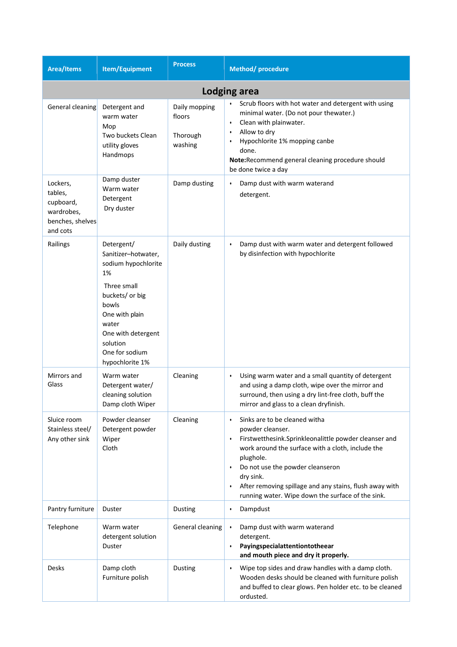| <b>Area/Items</b>                                                              | Item/Equipment                                                                                                                                                                                              | <b>Process</b>                                 | Method/procedure                                                                                                                                                                                                                                                                                                                                                                     |
|--------------------------------------------------------------------------------|-------------------------------------------------------------------------------------------------------------------------------------------------------------------------------------------------------------|------------------------------------------------|--------------------------------------------------------------------------------------------------------------------------------------------------------------------------------------------------------------------------------------------------------------------------------------------------------------------------------------------------------------------------------------|
| Lodging area                                                                   |                                                                                                                                                                                                             |                                                |                                                                                                                                                                                                                                                                                                                                                                                      |
| General cleaning                                                               | Detergent and<br>warm water<br>Mop<br>Two buckets Clean<br>utility gloves<br>Handmops                                                                                                                       | Daily mopping<br>floors<br>Thorough<br>washing | Scrub floors with hot water and detergent with using<br>minimal water. (Do not pour thewater.)<br>Clean with plainwater.<br>$\bullet$<br>Allow to dry<br>$\bullet$<br>Hypochlorite 1% mopping canbe<br>$\bullet$<br>done.<br>Note:Recommend general cleaning procedure should<br>be done twice a day                                                                                 |
| Lockers,<br>tables,<br>cupboard,<br>wardrobes,<br>benches, shelves<br>and cots | Damp duster<br>Warm water<br>Detergent<br>Dry duster                                                                                                                                                        | Damp dusting                                   | Damp dust with warm waterand<br>detergent.                                                                                                                                                                                                                                                                                                                                           |
| Railings                                                                       | Detergent/<br>Sanitizer-hotwater,<br>sodium hypochlorite<br>1%<br>Three small<br>buckets/ or big<br>bowls<br>One with plain<br>water<br>One with detergent<br>solution<br>One for sodium<br>hypochlorite 1% | Daily dusting                                  | Damp dust with warm water and detergent followed<br>٠<br>by disinfection with hypochlorite                                                                                                                                                                                                                                                                                           |
| Mirrors and<br>Glass                                                           | Warm water<br>Detergent water/<br>cleaning solution<br>Damp cloth Wiper                                                                                                                                     | Cleaning                                       | Using warm water and a small quantity of detergent<br>and using a damp cloth, wipe over the mirror and<br>surround, then using a dry lint-free cloth, buff the<br>mirror and glass to a clean dryfinish.                                                                                                                                                                             |
| Sluice room<br>Stainless steel/<br>Any other sink                              | Powder cleanser<br>Detergent powder<br>Wiper<br>Cloth                                                                                                                                                       | Cleaning                                       | Sinks are to be cleaned witha<br>$\bullet$<br>powder cleanser.<br>Firstwetthesink.Sprinkleonalittle powder cleanser and<br>$\bullet$<br>work around the surface with a cloth, include the<br>plughole.<br>Do not use the powder cleanseron<br>dry sink.<br>After removing spillage and any stains, flush away with<br>$\bullet$<br>running water. Wipe down the surface of the sink. |
| Pantry furniture                                                               | Duster                                                                                                                                                                                                      | Dusting                                        | Dampdust<br>$\bullet$                                                                                                                                                                                                                                                                                                                                                                |
| Telephone                                                                      | Warm water<br>detergent solution<br>Duster                                                                                                                                                                  | General cleaning                               | Damp dust with warm waterand<br>$\bullet$<br>detergent.<br>Payingspecialattentiontotheear<br>$\bullet$<br>and mouth piece and dry it properly.                                                                                                                                                                                                                                       |
| Desks                                                                          | Damp cloth<br>Furniture polish                                                                                                                                                                              | Dusting                                        | Wipe top sides and draw handles with a damp cloth.<br>٠<br>Wooden desks should be cleaned with furniture polish<br>and buffed to clear glows. Pen holder etc. to be cleaned<br>ordusted.                                                                                                                                                                                             |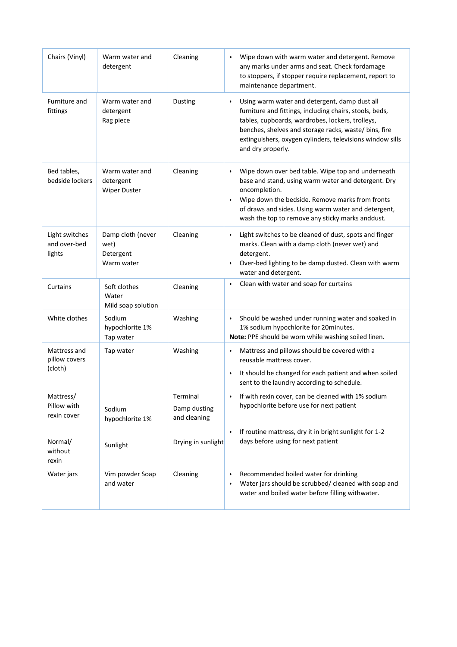| Chairs (Vinyl)                                                         | Warm water and<br>detergent                          | Cleaning                                                       | Wipe down with warm water and detergent. Remove<br>$\bullet$<br>any marks under arms and seat. Check fordamage<br>to stoppers, if stopper require replacement, report to<br>maintenance department.                                                                                                               |
|------------------------------------------------------------------------|------------------------------------------------------|----------------------------------------------------------------|-------------------------------------------------------------------------------------------------------------------------------------------------------------------------------------------------------------------------------------------------------------------------------------------------------------------|
| Furniture and<br>fittings                                              | Warm water and<br>detergent<br>Rag piece             | <b>Dusting</b>                                                 | Using warm water and detergent, damp dust all<br>٠<br>furniture and fittings, including chairs, stools, beds,<br>tables, cupboards, wardrobes, lockers, trolleys,<br>benches, shelves and storage racks, waste/bins, fire<br>extinguishers, oxygen cylinders, televisions window sills<br>and dry properly.       |
| Bed tables,<br>bedside lockers                                         | Warm water and<br>detergent<br><b>Wiper Duster</b>   | Cleaning                                                       | Wipe down over bed table. Wipe top and underneath<br>$\bullet$<br>base and stand, using warm water and detergent. Dry<br>oncompletion.<br>Wipe down the bedside. Remove marks from fronts<br>$\bullet$<br>of draws and sides. Using warm water and detergent,<br>wash the top to remove any sticky marks anddust. |
| Light switches<br>and over-bed<br>lights                               | Damp cloth (never<br>wet)<br>Detergent<br>Warm water | Cleaning                                                       | • Light switches to be cleaned of dust, spots and finger<br>marks. Clean with a damp cloth (never wet) and<br>detergent.<br>• Over-bed lighting to be damp dusted. Clean with warm<br>water and detergent.                                                                                                        |
| Curtains                                                               | Soft clothes<br>Water<br>Mild soap solution          | Cleaning                                                       | Clean with water and soap for curtains<br>$\bullet$                                                                                                                                                                                                                                                               |
| White clothes                                                          | Sodium<br>hypochlorite 1%<br>Tap water               | Washing                                                        | Should be washed under running water and soaked in<br>1% sodium hypochlorite for 20minutes.<br>Note: PPE should be worn while washing soiled linen.                                                                                                                                                               |
| Mattress and<br>pillow covers<br>(cloth)                               | Tap water                                            | Washing                                                        | Mattress and pillows should be covered with a<br>reusable mattress cover.<br>It should be changed for each patient and when soiled<br>sent to the laundry according to schedule.                                                                                                                                  |
| Mattress/<br>Pillow with<br>rexin cover<br>Normal/<br>without<br>rexin | Sodium<br>hypochlorite 1%<br>Sunlight                | Terminal<br>Damp dusting<br>and cleaning<br>Drying in sunlight | If with rexin cover, can be cleaned with 1% sodium<br>$\bullet$<br>hypochlorite before use for next patient<br>If routine mattress, dry it in bright sunlight for 1-2<br>$\bullet$<br>days before using for next patient                                                                                          |
| Water jars                                                             | Vim powder Soap<br>and water                         | Cleaning                                                       | Recommended boiled water for drinking<br>Water jars should be scrubbed/ cleaned with soap and<br>water and boiled water before filling withwater.                                                                                                                                                                 |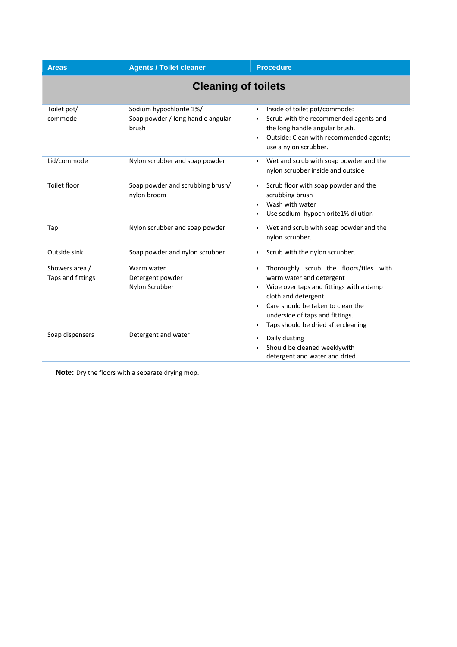| <b>Areas</b>                        | <b>Agents / Toilet cleaner</b>                                        | <b>Procedure</b>                                                                                                                                                                                                                                                                           |  |
|-------------------------------------|-----------------------------------------------------------------------|--------------------------------------------------------------------------------------------------------------------------------------------------------------------------------------------------------------------------------------------------------------------------------------------|--|
| <b>Cleaning of toilets</b>          |                                                                       |                                                                                                                                                                                                                                                                                            |  |
| Toilet pot/<br>commode              | Sodium hypochlorite 1%/<br>Soap powder / long handle angular<br>brush | Inside of toilet pot/commode:<br>Scrub with the recommended agents and<br>the long handle angular brush.<br>Outside: Clean with recommended agents;<br>$\bullet$<br>use a nylon scrubber.                                                                                                  |  |
| Lid/commode                         | Nylon scrubber and soap powder                                        | Wet and scrub with soap powder and the<br>$\bullet$<br>nylon scrubber inside and outside                                                                                                                                                                                                   |  |
| Toilet floor                        | Soap powder and scrubbing brush/<br>nylon broom                       | Scrub floor with soap powder and the<br>$\bullet$<br>scrubbing brush<br>Wash with water<br>$\bullet$<br>Use sodium hypochlorite1% dilution<br>$\bullet$                                                                                                                                    |  |
| Tap                                 | Nylon scrubber and soap powder                                        | Wet and scrub with soap powder and the<br>$\bullet$<br>nylon scrubber.                                                                                                                                                                                                                     |  |
| Outside sink                        | Soap powder and nylon scrubber                                        | Scrub with the nylon scrubber.<br>$\bullet$                                                                                                                                                                                                                                                |  |
| Showers area /<br>Taps and fittings | Warm water<br>Detergent powder<br>Nylon Scrubber                      | Thoroughly scrub the floors/tiles with<br>$\bullet$<br>warm water and detergent<br>Wipe over taps and fittings with a damp<br>$\bullet$<br>cloth and detergent.<br>Care should be taken to clean the<br>$\bullet$<br>underside of taps and fittings.<br>Taps should be dried aftercleaning |  |
| Soap dispensers                     | Detergent and water                                                   | Daily dusting<br>$\bullet$<br>Should be cleaned weeklywith<br>$\bullet$<br>detergent and water and dried.                                                                                                                                                                                  |  |

**Note:** Dry the floors with a separate drying mop.